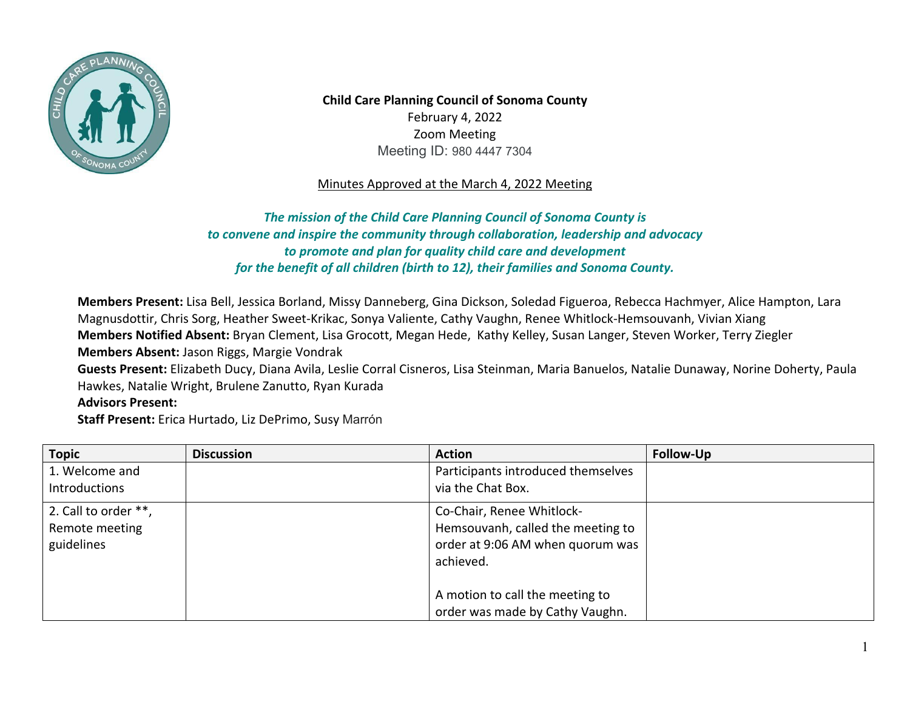

**Child Care Planning Council of Sonoma County**  February 4, 2022 Meeting ID: 980 4447 7304 Zoom Meeting

## Minutes Approved at the March 4, 2022 Meeting

 *to convene and inspire the community through collaboration, leadership and advocacy The mission of the Child Care Planning Council of Sonoma County is to promote and plan for quality child care and development for the benefit of all children (birth to 12), their families and Sonoma County.* 

 Hawkes, Natalie Wright, Brulene Zanutto, Ryan Kurada **Members Present:** Lisa Bell, Jessica Borland, Missy Danneberg, Gina Dickson, Soledad Figueroa, Rebecca Hachmyer, Alice Hampton, Lara Magnusdottir, Chris Sorg, Heather Sweet-Krikac, Sonya Valiente, Cathy Vaughn, Renee Whitlock-Hemsouvanh, Vivian Xiang **Members Notified Absent:** Bryan Clement, Lisa Grocott, Megan Hede, Kathy Kelley, Susan Langer, Steven Worker, Terry Ziegler **Members Absent:** Jason Riggs, Margie Vondrak **Guests Present:** Elizabeth Ducy, Diana Avila, Leslie Corral Cisneros, Lisa Steinman, Maria Banuelos, Natalie Dunaway, Norine Doherty, Paula **Advisors Present:** 

**Staff Present:** Erica Hurtado, Liz DePrimo, Susy Marrón

| <b>Topic</b>         | <b>Discussion</b> | <b>Action</b>                      | Follow-Up |
|----------------------|-------------------|------------------------------------|-----------|
| 1. Welcome and       |                   | Participants introduced themselves |           |
| <b>Introductions</b> |                   | via the Chat Box.                  |           |
| 2. Call to order **, |                   | Co-Chair, Renee Whitlock-          |           |
| Remote meeting       |                   | Hemsouvanh, called the meeting to  |           |
| guidelines           |                   | order at 9:06 AM when quorum was   |           |
|                      |                   | achieved.                          |           |
|                      |                   |                                    |           |
|                      |                   | A motion to call the meeting to    |           |
|                      |                   | order was made by Cathy Vaughn.    |           |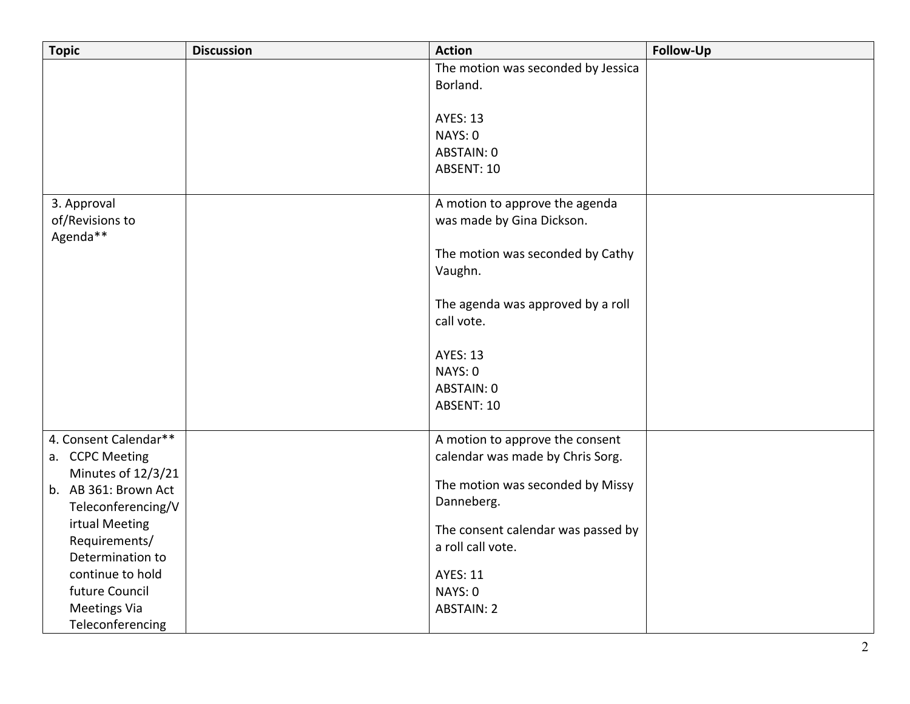| <b>Topic</b>          | <b>Discussion</b> | <b>Action</b>                               | Follow-Up |
|-----------------------|-------------------|---------------------------------------------|-----------|
|                       |                   | The motion was seconded by Jessica          |           |
|                       |                   | Borland.                                    |           |
|                       |                   |                                             |           |
|                       |                   | <b>AYES: 13</b>                             |           |
|                       |                   | NAYS: 0                                     |           |
|                       |                   | ABSTAIN: 0                                  |           |
|                       |                   | ABSENT: 10                                  |           |
| 3. Approval           |                   | A motion to approve the agenda              |           |
| of/Revisions to       |                   | was made by Gina Dickson.                   |           |
| Agenda**              |                   |                                             |           |
|                       |                   | The motion was seconded by Cathy<br>Vaughn. |           |
|                       |                   |                                             |           |
|                       |                   | The agenda was approved by a roll           |           |
|                       |                   | call vote.                                  |           |
|                       |                   |                                             |           |
|                       |                   | <b>AYES: 13</b>                             |           |
|                       |                   | NAYS: 0                                     |           |
|                       |                   | ABSTAIN: 0                                  |           |
|                       |                   | ABSENT: 10                                  |           |
| 4. Consent Calendar** |                   | A motion to approve the consent             |           |
| a. CCPC Meeting       |                   | calendar was made by Chris Sorg.            |           |
| Minutes of 12/3/21    |                   |                                             |           |
| b. AB 361: Brown Act  |                   | The motion was seconded by Missy            |           |
| Teleconferencing/V    |                   | Danneberg.                                  |           |
| irtual Meeting        |                   | The consent calendar was passed by          |           |
| Requirements/         |                   | a roll call vote.                           |           |
| Determination to      |                   |                                             |           |
| continue to hold      |                   | <b>AYES: 11</b>                             |           |
| future Council        |                   | NAYS: 0                                     |           |
| <b>Meetings Via</b>   |                   | <b>ABSTAIN: 2</b>                           |           |
| Teleconferencing      |                   |                                             |           |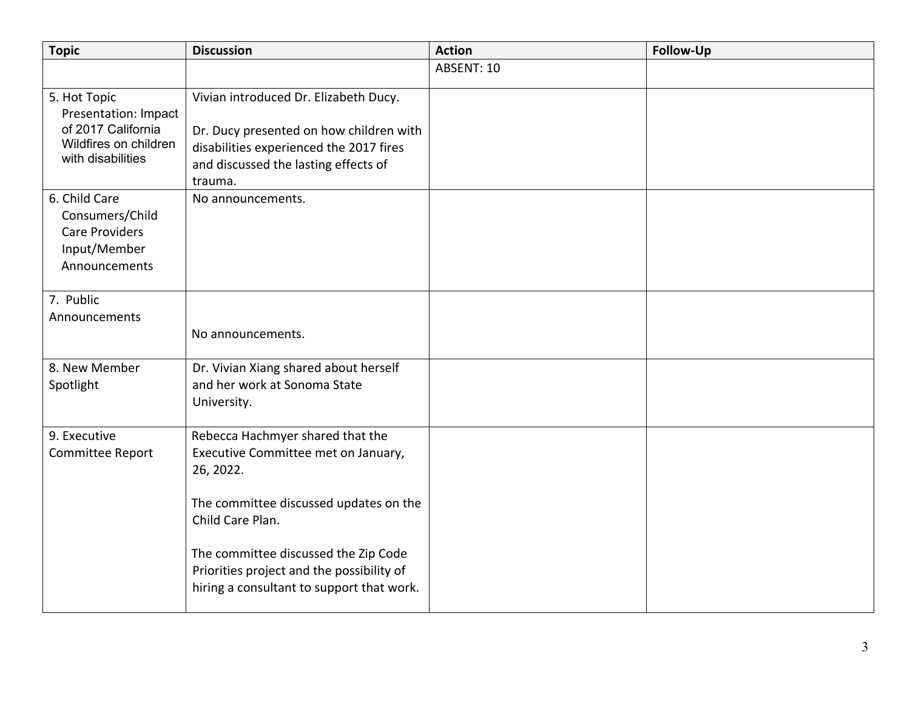| <b>Topic</b>                                                                                             | <b>Discussion</b>                                                                                                                                                                                                                                                                    | <b>Action</b> | <b>Follow-Up</b> |
|----------------------------------------------------------------------------------------------------------|--------------------------------------------------------------------------------------------------------------------------------------------------------------------------------------------------------------------------------------------------------------------------------------|---------------|------------------|
|                                                                                                          |                                                                                                                                                                                                                                                                                      | ABSENT: 10    |                  |
| 5. Hot Topic<br>Presentation: Impact<br>of 2017 California<br>Wildfires on children<br>with disabilities | Vivian introduced Dr. Elizabeth Ducy.<br>Dr. Ducy presented on how children with<br>disabilities experienced the 2017 fires<br>and discussed the lasting effects of<br>trauma.                                                                                                       |               |                  |
| 6. Child Care<br>Consumers/Child<br><b>Care Providers</b><br>Input/Member<br>Announcements               | No announcements.                                                                                                                                                                                                                                                                    |               |                  |
| 7. Public<br>Announcements                                                                               | No announcements.                                                                                                                                                                                                                                                                    |               |                  |
| 8. New Member<br>Spotlight                                                                               | Dr. Vivian Xiang shared about herself<br>and her work at Sonoma State<br>University.                                                                                                                                                                                                 |               |                  |
| 9. Executive<br>Committee Report                                                                         | Rebecca Hachmyer shared that the<br>Executive Committee met on January,<br>26, 2022.<br>The committee discussed updates on the<br>Child Care Plan.<br>The committee discussed the Zip Code<br>Priorities project and the possibility of<br>hiring a consultant to support that work. |               |                  |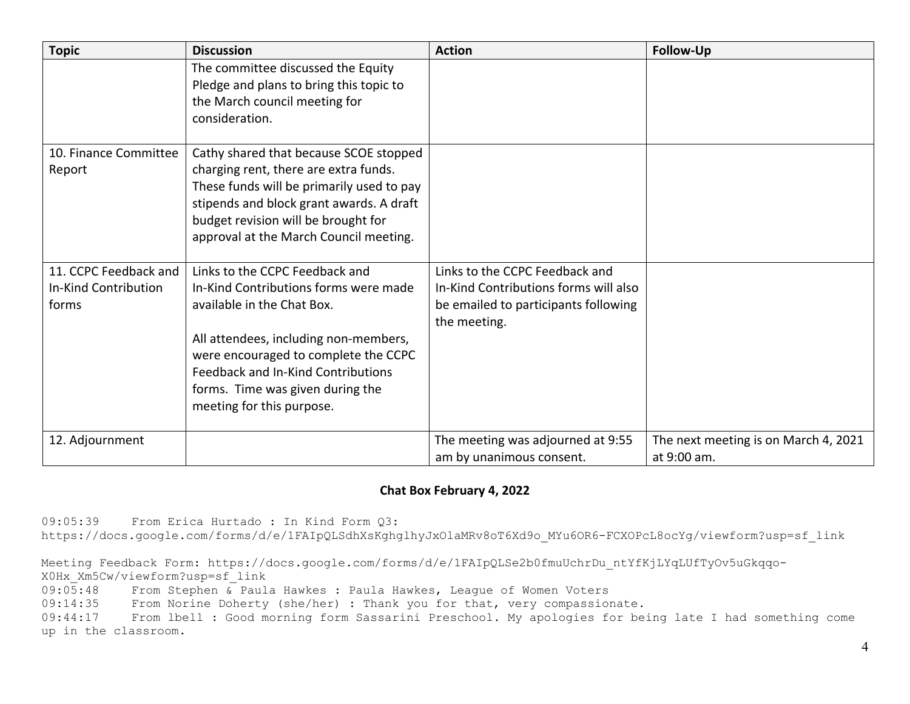| <b>Topic</b>                                           | <b>Discussion</b>                                                                                                                                                                                                                                                                             | <b>Action</b>                                                                                                                   | Follow-Up                                           |
|--------------------------------------------------------|-----------------------------------------------------------------------------------------------------------------------------------------------------------------------------------------------------------------------------------------------------------------------------------------------|---------------------------------------------------------------------------------------------------------------------------------|-----------------------------------------------------|
|                                                        | The committee discussed the Equity<br>Pledge and plans to bring this topic to<br>the March council meeting for<br>consideration.                                                                                                                                                              |                                                                                                                                 |                                                     |
| 10. Finance Committee<br>Report                        | Cathy shared that because SCOE stopped<br>charging rent, there are extra funds.<br>These funds will be primarily used to pay<br>stipends and block grant awards. A draft<br>budget revision will be brought for<br>approval at the March Council meeting.                                     |                                                                                                                                 |                                                     |
| 11. CCPC Feedback and<br>In-Kind Contribution<br>forms | Links to the CCPC Feedback and<br>In-Kind Contributions forms were made<br>available in the Chat Box.<br>All attendees, including non-members,<br>were encouraged to complete the CCPC<br>Feedback and In-Kind Contributions<br>forms. Time was given during the<br>meeting for this purpose. | Links to the CCPC Feedback and<br>In-Kind Contributions forms will also<br>be emailed to participants following<br>the meeting. |                                                     |
| 12. Adjournment                                        |                                                                                                                                                                                                                                                                                               | The meeting was adjourned at 9:55<br>am by unanimous consent.                                                                   | The next meeting is on March 4, 2021<br>at 9:00 am. |

## **Chat Box February 4, 2022**

09:05:39 From Erica Hurtado : In Kind Form Q3: [https://docs.google.com/forms/d/e/1FAIpQLSdhXsKghglhyJxOlaMRv8oT6Xd9o\\_MYu6OR6-FCXOPcL8ocYg/viewform?usp=sf\\_link](https://docs.google.com/forms/d/e/1FAIpQLSdhXsKghglhyJxOlaMRv8oT6Xd9o_MYu6OR6-FCXOPcL8ocYg/viewform?usp=sf_link)

Meeting Feedback Form: [https://docs.google.com/forms/d/e/1FAIpQLSe2b0fmuUchrDu\\_ntYfKjLYqLUfTyOv5uGkqqo-](https://docs.google.com/forms/d/e/1FAIpQLSe2b0fmuUchrDu_ntYfKjLYqLUfTyOv5uGkqqo)X0Hx\_Xm5Cw/viewform?usp=sf\_link

 $09:0\overline{5}:48$  From Stephen & Paula Hawkes : Paula Hawkes, League of Women Voters<br>09:14:35 From Norine Doherty (she/her) : Thank you for that, very compassion

09:14:35 From Norine Doherty (she/her) : Thank you for that, very compassionate.<br>09:44:17 From lbell : Good morning form Sassarini Preschool. My apologies for be

From lbell : Good morning form Sassarini Preschool. My apologies for being late I had something come up in the classroom.